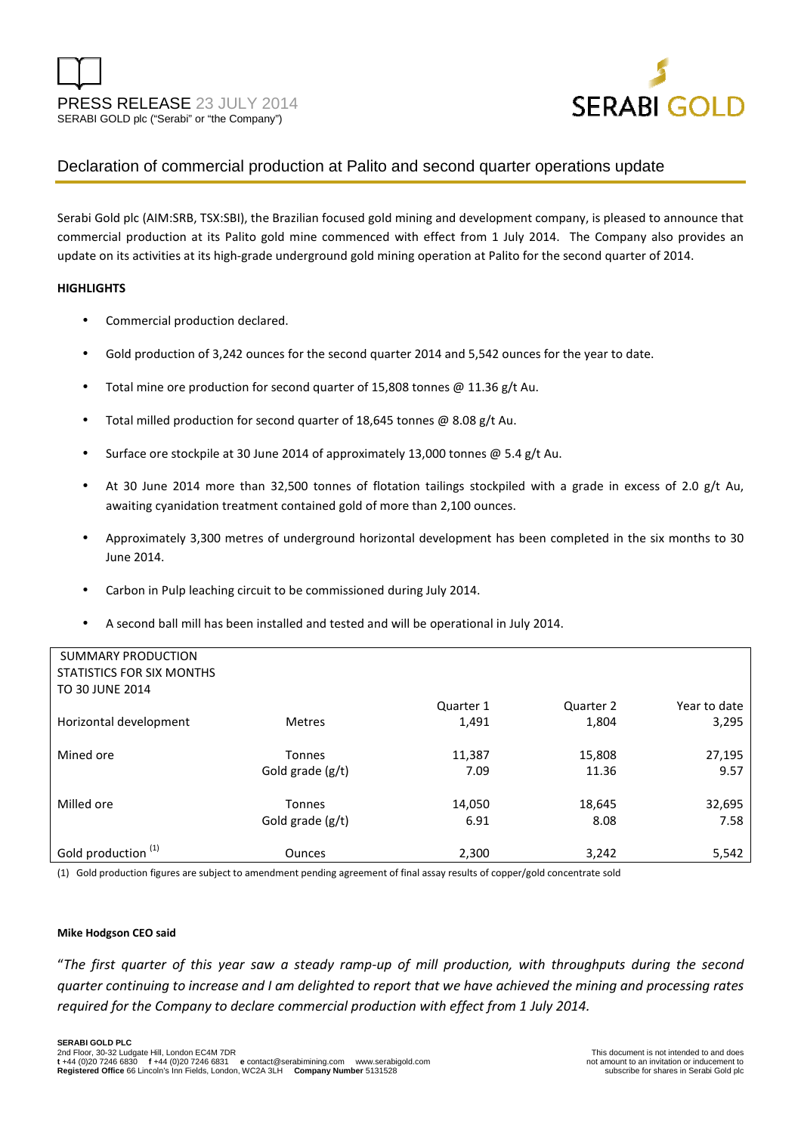

# Declaration of commercial production at Palito and second quarter operations update

Serabi Gold plc (AIM:SRB, TSX:SBI), the Brazilian focused gold mining and development company, is pleased to announce that commercial production at its Palito gold mine commenced with effect from 1 July 2014. The Company also provides an update on its activities at its high-grade underground gold mining operation at Palito for the second quarter of 2014.

#### **HIGHLIGHTS**

- Commercial production declared.
- Gold production of 3,242 ounces for the second quarter 2014 and 5,542 ounces for the year to date.
- Total mine ore production for second quarter of 15,808 tonnes @ 11.36 g/t Au.
- Total milled production for second quarter of 18,645 tonnes @ 8.08 g/t Au.
- Surface ore stockpile at 30 June 2014 of approximately 13,000 tonnes @ 5.4 g/t Au.
- At 30 June 2014 more than 32,500 tonnes of flotation tailings stockpiled with a grade in excess of 2.0 g/t Au, awaiting cyanidation treatment contained gold of more than 2,100 ounces.
- Approximately 3,300 metres of underground horizontal development has been completed in the six months to 30 June 2014.
- Carbon in Pulp leaching circuit to be commissioned during July 2014.
- A second ball mill has been installed and tested and will be operational in July 2014.

| <b>SUMMARY PRODUCTION</b>      |                  |           |           |              |
|--------------------------------|------------------|-----------|-----------|--------------|
| STATISTICS FOR SIX MONTHS      |                  |           |           |              |
| TO 30 JUNE 2014                |                  |           |           |              |
|                                |                  | Quarter 1 | Quarter 2 | Year to date |
| Horizontal development         | <b>Metres</b>    | 1,491     | 1,804     | 3,295        |
| Mined ore                      | <b>Tonnes</b>    | 11,387    | 15,808    | 27,195       |
|                                | Gold grade (g/t) | 7.09      | 11.36     | 9.57         |
| Milled ore                     | <b>Tonnes</b>    | 14,050    | 18,645    | 32,695       |
|                                | Gold grade (g/t) | 6.91      | 8.08      | 7.58         |
| Gold production <sup>(1)</sup> | <b>Ounces</b>    | 2,300     | 3,242     | 5,542        |

(1) Gold production figures are subject to amendment pending agreement of final assay results of copper/gold concentrate sold

#### **Mike Hodgson CEO said**

"*The first quarter of this year saw a steady ramp-up of mill production, with throughputs during the second quarter continuing to increase and I am delighted to report that we have achieved the mining and processing rates required for the Company to declare commercial production with effect from 1 July 2014.*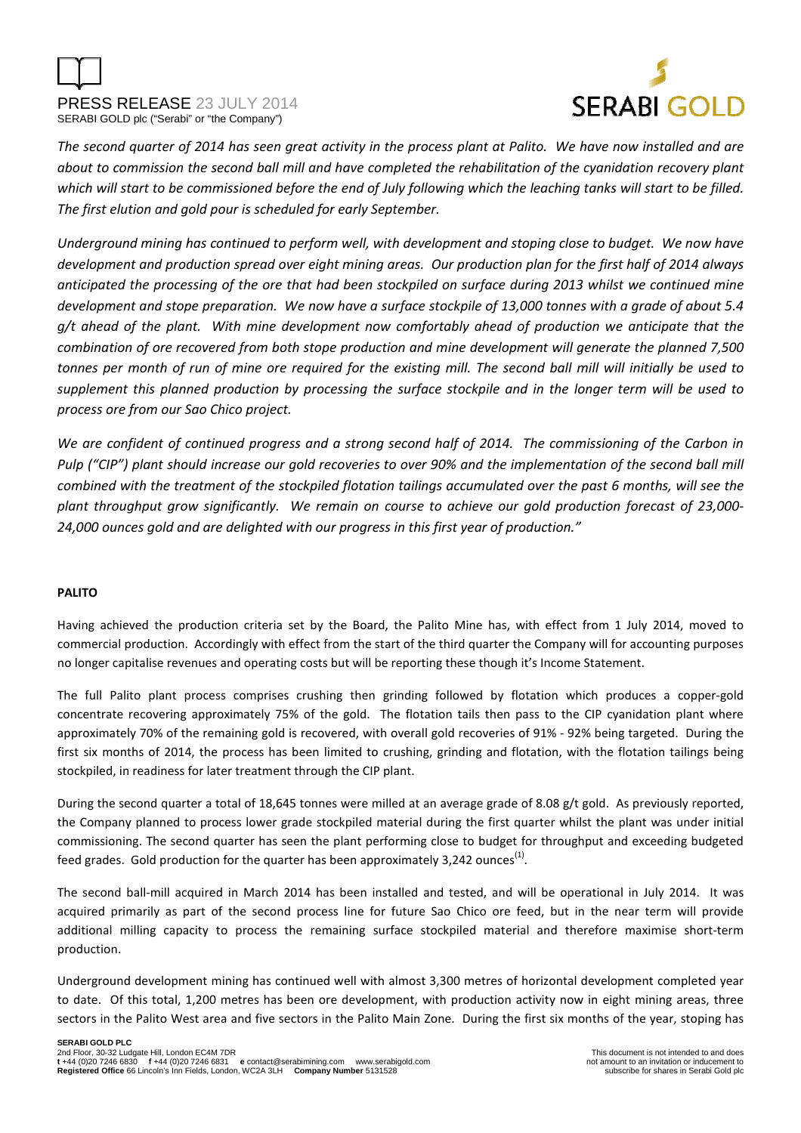



*The second quarter of 2014 has seen great activity in the process plant at Palito. We have now installed and are about to commission the second ball mill and have completed the rehabilitation of the cyanidation recovery plant which will start to be commissioned before the end of July following which the leaching tanks will start to be filled. The first elution and gold pour is scheduled for early September.* 

*Underground mining has continued to perform well, with development and stoping close to budget. We now have development and production spread over eight mining areas. Our production plan for the first half of 2014 always anticipated the processing of the ore that had been stockpiled on surface during 2013 whilst we continued mine development and stope preparation. We now have a surface stockpile of 13,000 tonnes with a grade of about 5.4 g/t ahead of the plant. With mine development now comfortably ahead of production we anticipate that the combination of ore recovered from both stope production and mine development will generate the planned 7,500 tonnes per month of run of mine ore required for the existing mill. The second ball mill will initially be used to supplement this planned production by processing the surface stockpile and in the longer term will be used to process ore from our Sao Chico project.* 

*We are confident of continued progress and a strong second half of 2014. The commissioning of the Carbon in Pulp ("CIP") plant should increase our gold recoveries to over 90% and the implementation of the second ball mill combined with the treatment of the stockpiled flotation tailings accumulated over the past 6 months, will see the plant throughput grow significantly. We remain on course to achieve our gold production forecast of 23,000- 24,000 ounces gold and are delighted with our progress in this first year of production."* 

## **PALITO**

Having achieved the production criteria set by the Board, the Palito Mine has, with effect from 1 July 2014, moved to commercial production. Accordingly with effect from the start of the third quarter the Company will for accounting purposes no longer capitalise revenues and operating costs but will be reporting these though it's Income Statement.

The full Palito plant process comprises crushing then grinding followed by flotation which produces a copper-gold concentrate recovering approximately 75% of the gold. The flotation tails then pass to the CIP cyanidation plant where approximately 70% of the remaining gold is recovered, with overall gold recoveries of 91% - 92% being targeted. During the first six months of 2014, the process has been limited to crushing, grinding and flotation, with the flotation tailings being stockpiled, in readiness for later treatment through the CIP plant.

During the second quarter a total of 18,645 tonnes were milled at an average grade of 8.08 g/t gold. As previously reported, the Company planned to process lower grade stockpiled material during the first quarter whilst the plant was under initial commissioning. The second quarter has seen the plant performing close to budget for throughput and exceeding budgeted feed grades. Gold production for the quarter has been approximately 3,242 ounces<sup>(1)</sup>.

The second ball-mill acquired in March 2014 has been installed and tested, and will be operational in July 2014. It was acquired primarily as part of the second process line for future Sao Chico ore feed, but in the near term will provide additional milling capacity to process the remaining surface stockpiled material and therefore maximise short-term production.

Underground development mining has continued well with almost 3,300 metres of horizontal development completed year to date. Of this total, 1,200 metres has been ore development, with production activity now in eight mining areas, three sectors in the Palito West area and five sectors in the Palito Main Zone. During the first six months of the year, stoping has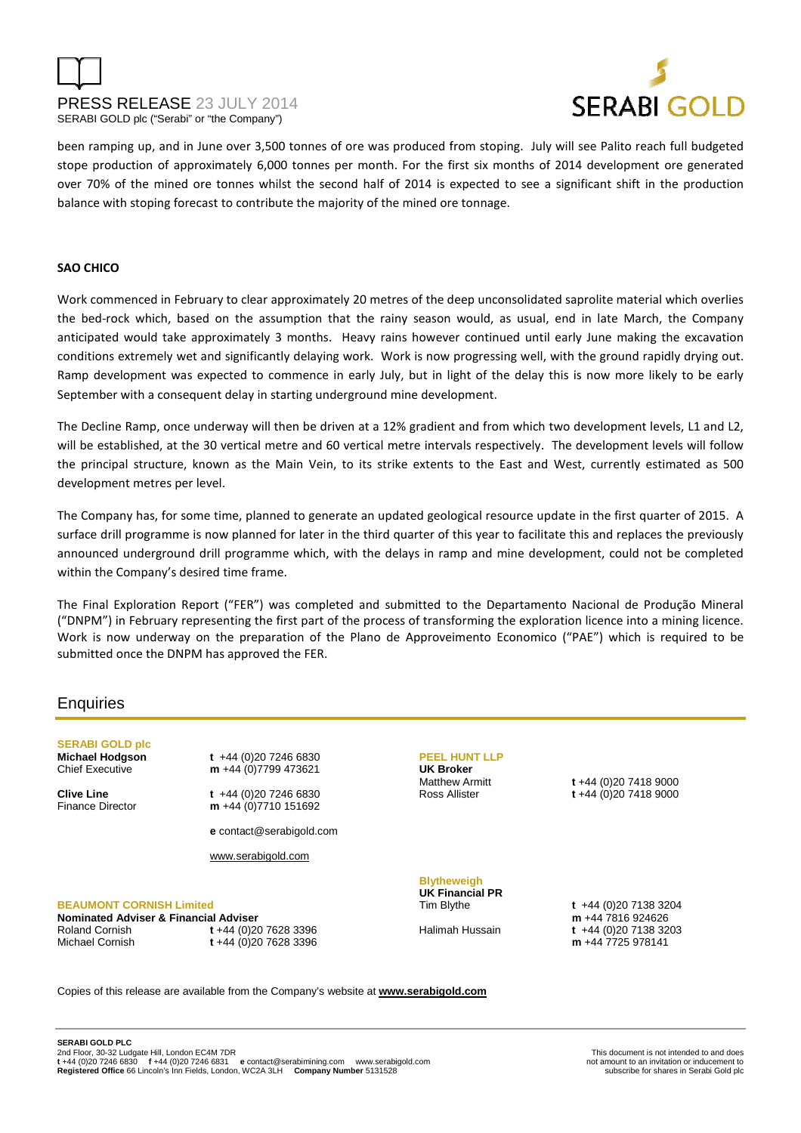# PRESS RELEASE 23 JULY 2014 SERABI GOLD plc ("Serabi" or "the Company")



been ramping up, and in June over 3,500 tonnes of ore was produced from stoping. July will see Palito reach full budgeted stope production of approximately 6,000 tonnes per month. For the first six months of 2014 development ore generated over 70% of the mined ore tonnes whilst the second half of 2014 is expected to see a significant shift in the production balance with stoping forecast to contribute the majority of the mined ore tonnage.

#### **SAO CHICO**

Work commenced in February to clear approximately 20 metres of the deep unconsolidated saprolite material which overlies the bed-rock which, based on the assumption that the rainy season would, as usual, end in late March, the Company anticipated would take approximately 3 months. Heavy rains however continued until early June making the excavation conditions extremely wet and significantly delaying work. Work is now progressing well, with the ground rapidly drying out. Ramp development was expected to commence in early July, but in light of the delay this is now more likely to be early September with a consequent delay in starting underground mine development.

The Decline Ramp, once underway will then be driven at a 12% gradient and from which two development levels, L1 and L2, will be established, at the 30 vertical metre and 60 vertical metre intervals respectively. The development levels will follow the principal structure, known as the Main Vein, to its strike extents to the East and West, currently estimated as 500 development metres per level.

The Company has, for some time, planned to generate an updated geological resource update in the first quarter of 2015. A surface drill programme is now planned for later in the third quarter of this year to facilitate this and replaces the previously announced underground drill programme which, with the delays in ramp and mine development, could not be completed within the Company's desired time frame.

The Final Exploration Report ("FER") was completed and submitted to the Departamento Nacional de Produção Mineral ("DNPM") in February representing the first part of the process of transforming the exploration licence into a mining licence. Work is now underway on the preparation of the Plano de Approveimento Economico ("PAE") which is required to be submitted once the DNPM has approved the FER.

## **Enquiries**

**SERABI GOLD plc** 

**Michael Hodgson t** +44 (0)20 7246 6830 Chief Executive **m** +44 (0)7799 473621

**Clive Line t** +44 (0)20 7246 6830 Finance Director **m** +44 (0)7710 151692

**e** contact@serabigold.com

www.serabigold.com

#### **BEAUMONT CORNISH Limited**

**Nominated Adviser & Financial Adviser**  Roland Cornish **t** +44 (0)20 7628 3396 Michael Cornish **t** +44 (0)20 7628 3396

**PEEL HUNT LLP UK Broker**

Matthew Armitt **t** +44 (0)20 7418 9000 Ross Allister **t** +44 (0)20 7418 9000

**Blytheweigh UK Financial PR** 

Tim Blythe **t** +44 (0)20 7138 3204 **m** +44 7816 924626 Halimah Hussain **t** +44 (0)20 7138 3203 **m** +44 7725 978141

Copies of this release are available from the Company's website at **www.serabigold.com**